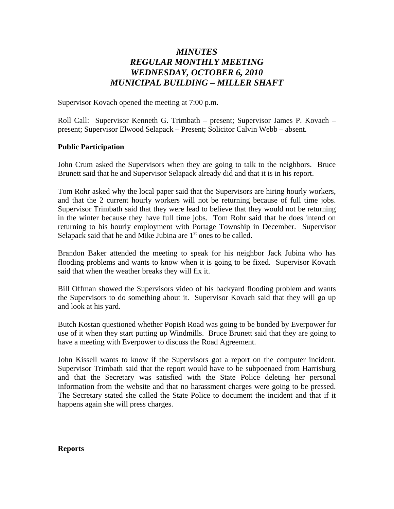# *MINUTES REGULAR MONTHLY MEETING WEDNESDAY, OCTOBER 6, 2010 MUNICIPAL BUILDING – MILLER SHAFT*

Supervisor Kovach opened the meeting at 7:00 p.m.

Roll Call: Supervisor Kenneth G. Trimbath – present; Supervisor James P. Kovach – present; Supervisor Elwood Selapack – Present; Solicitor Calvin Webb – absent.

#### **Public Participation**

John Crum asked the Supervisors when they are going to talk to the neighbors. Bruce Brunett said that he and Supervisor Selapack already did and that it is in his report.

Tom Rohr asked why the local paper said that the Supervisors are hiring hourly workers, and that the 2 current hourly workers will not be returning because of full time jobs. Supervisor Trimbath said that they were lead to believe that they would not be returning in the winter because they have full time jobs. Tom Rohr said that he does intend on returning to his hourly employment with Portage Township in December. Supervisor Selapack said that he and Mike Jubina are  $1<sup>st</sup>$  ones to be called.

Brandon Baker attended the meeting to speak for his neighbor Jack Jubina who has flooding problems and wants to know when it is going to be fixed. Supervisor Kovach said that when the weather breaks they will fix it.

Bill Offman showed the Supervisors video of his backyard flooding problem and wants the Supervisors to do something about it. Supervisor Kovach said that they will go up and look at his yard.

Butch Kostan questioned whether Popish Road was going to be bonded by Everpower for use of it when they start putting up Windmills. Bruce Brunett said that they are going to have a meeting with Everpower to discuss the Road Agreement.

John Kissell wants to know if the Supervisors got a report on the computer incident. Supervisor Trimbath said that the report would have to be subpoenaed from Harrisburg and that the Secretary was satisfied with the State Police deleting her personal information from the website and that no harassment charges were going to be pressed. The Secretary stated she called the State Police to document the incident and that if it happens again she will press charges.

#### **Reports**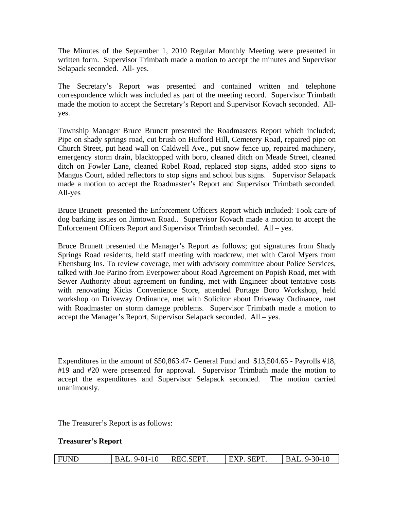The Minutes of the September 1, 2010 Regular Monthly Meeting were presented in written form. Supervisor Trimbath made a motion to accept the minutes and Supervisor Selapack seconded. All- yes.

The Secretary's Report was presented and contained written and telephone correspondence which was included as part of the meeting record. Supervisor Trimbath made the motion to accept the Secretary's Report and Supervisor Kovach seconded. Allyes.

Township Manager Bruce Brunett presented the Roadmasters Report which included; Pipe on shady springs road, cut brush on Hufford Hill, Cemetery Road, repaired pipe on Church Street, put head wall on Caldwell Ave., put snow fence up, repaired machinery, emergency storm drain, blacktopped with boro, cleaned ditch on Meade Street, cleaned ditch on Fowler Lane, cleaned Robel Road, replaced stop signs, added stop signs to Mangus Court, added reflectors to stop signs and school bus signs. Supervisor Selapack made a motion to accept the Roadmaster's Report and Supervisor Trimbath seconded. All-yes

Bruce Brunett presented the Enforcement Officers Report which included: Took care of dog barking issues on Jimtown Road.. Supervisor Kovach made a motion to accept the Enforcement Officers Report and Supervisor Trimbath seconded. All – yes.

Bruce Brunett presented the Manager's Report as follows; got signatures from Shady Springs Road residents, held staff meeting with roadcrew, met with Carol Myers from Ebensburg Ins. To review coverage, met with advisory committee about Police Services, talked with Joe Parino from Everpower about Road Agreement on Popish Road, met with Sewer Authority about agreement on funding, met with Engineer about tentative costs with renovating Kicks Convenience Store, attended Portage Boro Workshop, held workshop on Driveway Ordinance, met with Solicitor about Driveway Ordinance, met with Roadmaster on storm damage problems. Supervisor Trimbath made a motion to accept the Manager's Report, Supervisor Selapack seconded. All – yes.

Expenditures in the amount of \$50,863.47- General Fund and \$13,504.65 - Payrolls #18, #19 and #20 were presented for approval. Supervisor Trimbath made the motion to accept the expenditures and Supervisor Selapack seconded. The motion carried unanimously.

The Treasurer's Report is as follows:

#### **Treasurer's Report**

| <b>FUND</b><br>BAL. 9-01-10 | REC. SEPT. | EXP. SEPT. | BAL. 9-30-10 |
|-----------------------------|------------|------------|--------------|
|-----------------------------|------------|------------|--------------|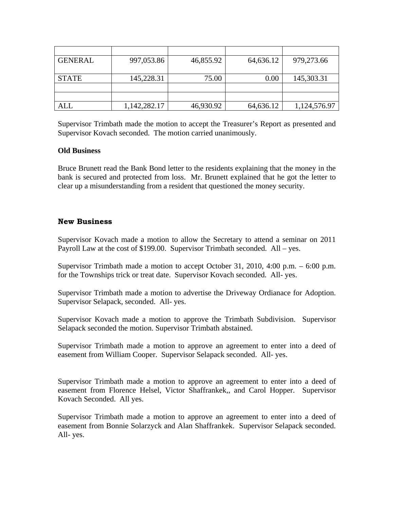| <b>GENERAL</b> | 997,053.86   | 46,855.92 | 64,636.12 | 979,273.66   |
|----------------|--------------|-----------|-----------|--------------|
|                |              |           |           |              |
| <b>STATE</b>   | 145,228.31   | 75.00     | 0.00      | 145,303.31   |
|                |              |           |           |              |
|                |              |           |           |              |
| ALL            | 1,142,282.17 | 46,930.92 | 64,636.12 | 1,124,576.97 |

Supervisor Trimbath made the motion to accept the Treasurer's Report as presented and Supervisor Kovach seconded. The motion carried unanimously.

### **Old Business**

Bruce Brunett read the Bank Bond letter to the residents explaining that the money in the bank is secured and protected from loss. Mr. Brunett explained that he got the letter to clear up a misunderstanding from a resident that questioned the money security.

## **New Business**

Supervisor Kovach made a motion to allow the Secretary to attend a seminar on 2011 Payroll Law at the cost of \$199.00. Supervisor Trimbath seconded. All – yes.

Supervisor Trimbath made a motion to accept October 31, 2010, 4:00 p.m. – 6:00 p.m. for the Townships trick or treat date. Supervisor Kovach seconded. All- yes.

Supervisor Trimbath made a motion to advertise the Driveway Ordianace for Adoption. Supervisor Selapack, seconded. All- yes.

Supervisor Kovach made a motion to approve the Trimbath Subdivision. Supervisor Selapack seconded the motion. Supervisor Trimbath abstained.

Supervisor Trimbath made a motion to approve an agreement to enter into a deed of easement from William Cooper. Supervisor Selapack seconded. All- yes.

Supervisor Trimbath made a motion to approve an agreement to enter into a deed of easement from Florence Helsel, Victor Shaffrankek,, and Carol Hopper. Supervisor Kovach Seconded. All yes.

Supervisor Trimbath made a motion to approve an agreement to enter into a deed of easement from Bonnie Solarzyck and Alan Shaffrankek. Supervisor Selapack seconded. All- yes.